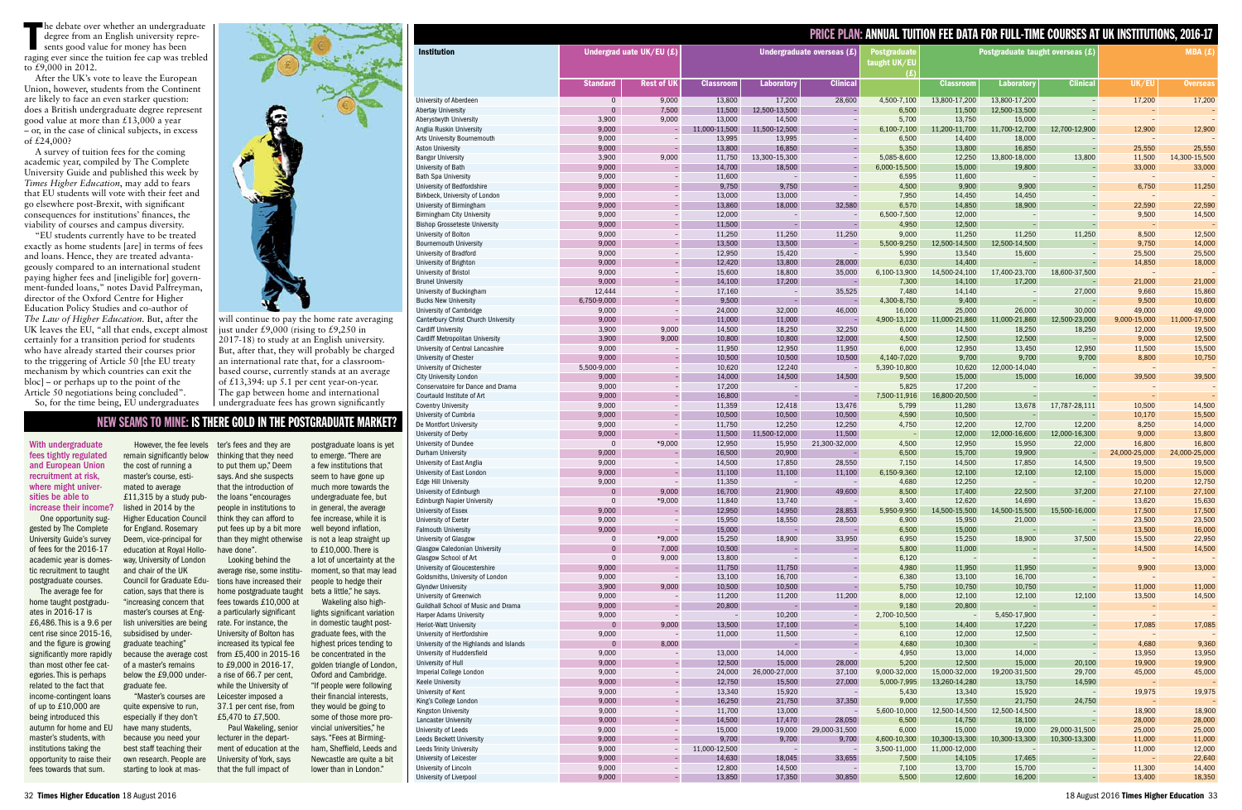|                                                         |                          |                          |                            |                          |                  |                                            | <b>PRICE PLAN: ANNUAL TUITION FEE DATA FOR FULL-TIME COURSES AT UK INSTITUTIONS, 2016-17</b> |                          |                  |                                    |                  |
|---------------------------------------------------------|--------------------------|--------------------------|----------------------------|--------------------------|------------------|--------------------------------------------|----------------------------------------------------------------------------------------------|--------------------------|------------------|------------------------------------|------------------|
| <b>Institution</b>                                      | Undergrad uate UK/EU (£) |                          | Undergraduate overseas (£) |                          |                  | <b>Postgraduate</b><br>taught UK/EU<br>(£) | Postgraduate taught overseas (£)                                                             |                          |                  | MBA(E)                             |                  |
|                                                         | <b>Standard</b>          | <b>Rest of UK</b>        | <b>Classroom</b>           | <b>Laboratory</b>        | <b>Clinical</b>  |                                            | <b>Classroom</b>                                                                             | <b>Laboratory</b>        | <b>Clinical</b>  | UK/EU                              | <b>Overseas</b>  |
| University of Aberdeen                                  | $\mathbf 0$              | 9,000                    | 13,800                     | 17,200                   | 28,600           | 4,500-7,100                                | 13,800-17,200                                                                                | 13,800-17,200            |                  | 17,200                             | 17,200           |
| <b>Abertay University</b>                               | $\mathbf{0}$             | 7,500                    | 11,500                     | 12,500-13,500            |                  | 6,500                                      | 11,500                                                                                       | 12,500-13,500            |                  |                                    |                  |
| Aberystwyth University                                  | 3,900                    | 9,000                    | 13,000                     | 14,500                   |                  | 5,700                                      | 13,750                                                                                       | 15,000                   |                  |                                    |                  |
| Anglia Ruskin University                                | 9,000                    |                          | 11,000-11,500              | 11,500-12,500            |                  | 6,100-7,100                                | 11,200-11,700                                                                                | 11,700-12,700            | 12,700-12,900    | 12,900                             | 12,900           |
| Arts University Bournemouth<br><b>Aston University</b>  | 9,000<br>9,000           |                          | 13,995<br>13,800           | 13,995<br>16,850         |                  | 6,500<br>5,350                             | 14,400<br>13,800                                                                             | 18,000<br>16,850         |                  | $\overline{\phantom{a}}$<br>25,550 | 25,550           |
| <b>Bangor University</b>                                | 3,900                    | 9,000                    | 11,750                     | 13,300-15,300            |                  | 5,085-8,600                                | 12,250                                                                                       | 13,800-18,000            | 13,800           | 11,500                             | 14,300-15,500    |
| University of Bath                                      | 9,000                    |                          | 14,700                     | 18,500                   |                  | 6,000-15,500                               | 15,000                                                                                       | 19,800                   |                  | 33,000                             | 33,000           |
| <b>Bath Spa University</b>                              | 9,000                    |                          | 11,600                     |                          |                  | 6,595                                      | 11,600                                                                                       |                          |                  |                                    |                  |
| University of Bedfordshire                              | 9,000                    |                          | 9,750                      | 9,750                    |                  | 4,500                                      | 9,900                                                                                        | 9,900                    |                  | 6,750                              | 11,250           |
| Birkbeck, University of London                          | 9,000                    | $\overline{\phantom{a}}$ | 13,000                     | 13,000                   |                  | 7,950                                      | 14,450                                                                                       | 14,450                   |                  | $\overline{\phantom{a}}$           |                  |
| University of Birmingham                                | 9,000                    |                          | 13,860                     | 18,000                   | 32,580           | 6,570                                      | 14,850                                                                                       | 18,900                   |                  | 22,590                             | 22,590           |
| <b>Birmingham City University</b>                       | 9,000                    |                          | 12,000                     |                          |                  | 6,500-7,500                                | 12,000                                                                                       |                          |                  | 9,500                              | 14,500           |
| <b>Bishop Grosseteste University</b>                    | 9,000                    |                          | 11,500                     | $\equiv$                 |                  | 4,950                                      | 12,500                                                                                       | $\equiv$                 |                  |                                    |                  |
| University of Bolton                                    | 9,000<br>9,000           |                          | 11,250<br>13,500           | 11,250<br>13,500         | 11,250           | 9,000<br>5,500-9,250                       | 11,250<br>12,500-14,500                                                                      | 11,250                   | 11,250           | 8,500<br>9,750                     | 12,500<br>14,000 |
| <b>Bournemouth University</b><br>University of Bradford | 9,000                    | $\qquad \qquad -$        | 12,950                     | 15,420                   |                  | 5,990                                      | 13,540                                                                                       | 12,500-14,500<br>15,600  |                  | 25,500                             | 25,500           |
| University of Brighton                                  | 9,000                    |                          | 12,420                     | 13,800                   | 28,000           | 6,030                                      | 14,400                                                                                       |                          |                  | 14,850                             | 18,000           |
| University of Bristol                                   | 9,000                    |                          | 15,600                     | 18,800                   | 35,000           | 6,100-13,900                               | 14,500-24,100                                                                                | 17,400-23,700            | 18,600-37,500    |                                    |                  |
| <b>Brunel University</b>                                | 9,000                    |                          | 14,100                     | 17,200                   |                  | 7,300                                      | 14,100                                                                                       | 17,200                   |                  | 21,000                             | 21,000           |
| University of Buckingham                                | 12,444                   |                          | 17,160                     |                          | 35,525           | 7,480                                      | 14,140                                                                                       | $\overline{\phantom{a}}$ | 27,000           | 9,660                              | 15,860           |
| <b>Bucks New University</b>                             | 6,750-9,000              |                          | 9,500                      |                          |                  | 4,300-8,750                                | 9,400                                                                                        |                          |                  | 9,500                              | 10,600           |
| University of Cambridge                                 | 9,000                    | $\overline{\phantom{a}}$ | 24,000                     | 32,000                   | 46,000           | 16,000                                     | 25,000                                                                                       | 26,000                   | 30,000           | 49,000                             | 49,000           |
| Canterbury Christ Church University                     | 9,000                    |                          | 11,000                     | 11,000                   |                  | 4,900-13,120                               | 11,000-21,860                                                                                | 11,000-21,860            | 12,500-23,000    | 9,000-15,000                       | 11,000-17,500    |
| <b>Cardiff University</b>                               | 3,900                    | 9,000                    | 14,500                     | 18,250                   | 32,250           | 6,000                                      | 14,500                                                                                       | 18,250                   | 18,250           | 12,000                             | 19,500           |
| Cardiff Metropolitan University                         | 3,900                    | 9,000                    | 10,800                     | 10,800                   | 12,000           | 4,500                                      | 12,500                                                                                       | 12,500                   |                  | 9,000                              | 12,500           |
| University of Central Lancashire                        | 9,000                    |                          | 11,950                     | 12,950                   | 11,950           | 6,000                                      | 12,950                                                                                       | 13,450                   | 12,950           | 11,500                             | 15,500           |
| University of Chester<br>University of Chichester       | 9,000<br>5,500-9,000     | $\overline{\phantom{a}}$ | 10,500<br>10,620           | 10,500<br>12,240         | 10,500           | 4,140-7,020<br>5,390-10,800                | 9,700<br>10,620                                                                              | 9,700<br>12,000-14,040   | 9,700            | 8,800<br>$\overline{\phantom{a}}$  | 10,750           |
| City University London                                  | 9,000                    |                          | 14,000                     | 14,500                   | 14,500           | 9,500                                      | 15,000                                                                                       | 15,000                   | 16,000           | 39,500                             | 39,500           |
| Conservatoire for Dance and Drama                       | 9,000                    |                          | 17,200                     |                          |                  | 5,825                                      | 17,200                                                                                       |                          |                  |                                    |                  |
| Courtauld Institute of Art                              | 9,000                    |                          | 16,800                     |                          |                  | 7,500-11,916                               | 16,800-20,500                                                                                |                          |                  |                                    |                  |
| <b>Coventry University</b>                              | 9,000                    |                          | 11,359                     | 12,418                   | 13,476           | 5,799                                      | 11,280                                                                                       | 13,678                   | 17,787-28,111    | 10,500                             | 14,500           |
| University of Cumbria                                   | 9,000                    |                          | 10,500                     | 10,500                   | 10,500           | 4,590                                      | 10,500                                                                                       | $\equiv$                 |                  | 10,170                             | 15,500           |
| De Montfort University                                  | 9,000                    |                          | 11,750                     | 12,250                   | 12,250           | 4,750                                      | 12,200                                                                                       | 12,700                   | 12,200           | 8,250                              | 14,000           |
| University of Derby                                     | 9,000                    |                          | 11,500                     | 11,500-12,000            | 11,500           |                                            | 12,000                                                                                       | 12,000-16,600            | 12,000-16,300    | 9,000                              | 13,800           |
| University of Dundee                                    | $\mathbf{0}$             | *9,000                   | 12,950                     | 15,950                   | 21,300-32,000    | 4,500                                      | 12,950                                                                                       | 15,950                   | 22,000           | 16,800                             | 16,800           |
| Durham University                                       | 9,000                    |                          | 16,500                     | 20,900                   |                  | 6,500                                      | 15,700                                                                                       | 19,900                   |                  | 24,000-25,000                      | 24,000-25,000    |
| University of East Anglia<br>University of East London  | 9,000<br>9,000           | $\overline{\phantom{a}}$ | 14,500<br>11,100           | 17,850<br>11,100         | 28,550<br>11,100 | 7,150<br>6,150-9,360                       | 14,500<br>12,100                                                                             | 17,850<br>12,100         | 14,500<br>12,100 | 19,500<br>15,000                   | 19,500<br>15,000 |
| <b>Edge Hill University</b>                             | 9,000                    |                          | 11,350                     | $\overline{\phantom{a}}$ |                  | 4,680                                      | 12,250                                                                                       | $\equiv$                 |                  | 10,200                             | 12,750           |
| University of Edinburgh                                 | $\mathbf{0}$             | 9,000                    | 16,700                     | 21,900                   | 49,600           | 8,500                                      | 17,400                                                                                       | 22,500                   | 37,200           | 27,100                             | 27,100           |
| Edinburgh Napier University                             | $\overline{0}$           | $*9,000$                 | 11,840                     | 13,740                   |                  | 3,400                                      | 12,620                                                                                       | 14,690                   |                  | 13,620                             | 15,630           |
| University of Essex                                     | 9,000                    |                          | 12,950                     | 14,950                   | 28,853           | 5,950-9,950                                | 14,500-15,500                                                                                | 14,500-15,500            | 15,500-16,000    | 17,500                             | 17,500           |
| University of Exeter                                    | 9,000                    |                          | 15,950                     | 18,550                   | 28,500           | 6,900                                      | 15,950                                                                                       | 21,000                   |                  | 23,500                             | 23,500           |
| <b>Falmouth University</b>                              | 9,000                    |                          | 15,000                     |                          |                  | 6,500                                      | 15,000                                                                                       | $\sim$                   |                  | 13,500                             | 16,000           |
| <b>University of Glasgow</b>                            | $\mathbf{0}$             | *9,000                   | 15,250                     | 18,900                   | 33,950           | 6,950                                      | 15,250                                                                                       | 18,900                   | 37,500           | 15,500                             | 22,950           |
| <b>Glasgow Caledonian University</b>                    | $\mathbf{0}$             | 7,000                    | 10,500                     |                          |                  | 5,800                                      | 11,000                                                                                       |                          |                  | 14,500                             | 14,500           |
| Glasgow School of Art                                   | $\mathbf 0$              | 9,000                    | 13,800                     | $\overline{\phantom{a}}$ |                  | 6,120                                      | $\equiv$                                                                                     | $\equiv$                 |                  | $\overline{\phantom{a}}$           |                  |
| University of Gloucestershire                           | 9,000                    |                          | 11,750                     | 11,750                   |                  | 4,980                                      | 11,950                                                                                       | 11,950                   |                  | 9,900                              | 13,000           |
| Goldsmiths, University of London                        | 9,000<br>3,900           | 9,000                    | 13,100<br>10,500           | 16,700<br>10,500         |                  | 6,380<br>5,750                             | 13,100                                                                                       | 16,700<br>10,750         |                  | 11,000                             |                  |
| <b>Glyndwr University</b><br>University of Greenwich    | 9,000                    |                          | 11,200                     | 11,200                   | 11,200           | 8,000                                      | 10,750<br>12,100                                                                             | 12,100                   | 12,100           | 13,500                             | 11,000<br>14,500 |
| Guildhall School of Music and Drama                     | 9,000                    |                          | 20,800                     |                          |                  | 9,180                                      | 20,800                                                                                       |                          |                  |                                    |                  |
| <b>Harper Adams University</b>                          | 9,000                    |                          | $\sim$                     | 10,200                   |                  | 2,700-10,500                               |                                                                                              | 5,450-17,900             |                  | $\overline{\phantom{a}}$           |                  |
| <b>Heriot-Watt University</b>                           | $\mathbf{0}$             | 9,000                    | 13,500                     | 17,100                   |                  | 5,100                                      | 14,400                                                                                       | 17,220                   |                  | 17,085                             | 17,085           |
| University of Hertfordshire                             | 9,000                    |                          | 11,000                     | 11,500                   |                  | 6,100                                      | 12,000                                                                                       | 12,500                   |                  |                                    |                  |
| University of the Highlands and Islands                 | $\overline{0}$           | 8,000                    |                            |                          |                  | 4,680                                      | 10,300                                                                                       |                          |                  | 4,680                              | 9,360            |
| University of Huddersfield                              | 9,000                    |                          | 13,000                     | 14,000                   |                  | 4,950                                      | 13,000                                                                                       | 14,000                   |                  | 13,950                             | 13,950           |
| University of Hull                                      | 9,000                    |                          | 12,500                     | 15,000                   | 28,000           | 5,200                                      | 12,500                                                                                       | 15,000                   | 20,100           | 19,900                             | 19,900           |
| Imperial College London                                 | 9,000                    | $\overline{\phantom{a}}$ | 24,000                     | 26,000-27,000            | 37,100           | 9,000-32,000                               | 15,000-32,000                                                                                | 19,200-31,500            | 29,700           | 45,000                             | 45,000           |
| <b>Keele University</b>                                 | 9,000                    |                          | 12,750                     | 15,500                   | 27,000           | 5,000-7,995                                | 13,260-14,280                                                                                | 13,750                   | 14,590           |                                    |                  |
| University of Kent                                      | 9,000<br>9,000           | $\overline{\phantom{a}}$ | 13,340<br>16,250           | 15,920                   | 37,350           | 5,430<br>9,000                             | 13,340<br>17,550                                                                             | 15,920                   | 24,750           | 19,975                             | 19,975           |
| King's College London<br>Kingston University            | 9,000                    | $\overline{\phantom{a}}$ | 11,700                     | 21,750<br>13,000         |                  | 5,600-10,000                               | 12,500-14,500                                                                                | 21,750<br>12,500-14,500  |                  | $\overline{\phantom{0}}$<br>18,900 | 18,900           |
| <b>Lancaster University</b>                             | 9,000                    | ÷,                       | 14,500                     | 17,470                   | 28,050           | 6,500                                      | 14,750                                                                                       | 18,100                   |                  | 28,000                             | 28,000           |
| University of Leeds                                     | 9,000                    | $\overline{\phantom{a}}$ | 15,000                     | 19,000                   | 29,000-31,500    | 6,000                                      | 15,000                                                                                       | 19,000                   | 29,000-31,500    | 25,000                             | 25,000           |
| <b>Leeds Beckett University</b>                         | 9,000                    |                          | 9,700                      | 9,700                    | 9,700            | 4,600-10,300                               | 10,300-13,300                                                                                | 10,300-13,300            | 10,300-13,300    | 11,000                             | 11,000           |
| <b>Leeds Trinity University</b>                         | 9,000                    |                          | 11,000-12,500              | $\overline{\phantom{a}}$ |                  | 3,500-11,000                               | 11,000-12,000                                                                                | $\overline{\phantom{a}}$ |                  | 11,000                             | 12,000           |
| University of Leicester                                 | 9,000                    |                          | 14,630                     | 18,045                   | 33,655           | 7,500                                      | 14,105                                                                                       | 17,465                   |                  | $\overline{\phantom{a}}$           | 22,640           |
| University of Lincoln                                   | 9,000                    |                          | 12,800                     | 14,500                   |                  | 7,100                                      | 13,700                                                                                       | 15,700                   |                  | 11,300                             | 14,400           |
| University of Liverpool                                 | 9,000                    | $\equiv$                 | 13,850                     | 17,350                   | 30,850           | 5,500                                      | 12,600                                                                                       | 16,200                   |                  | 13,400                             | 18,350           |